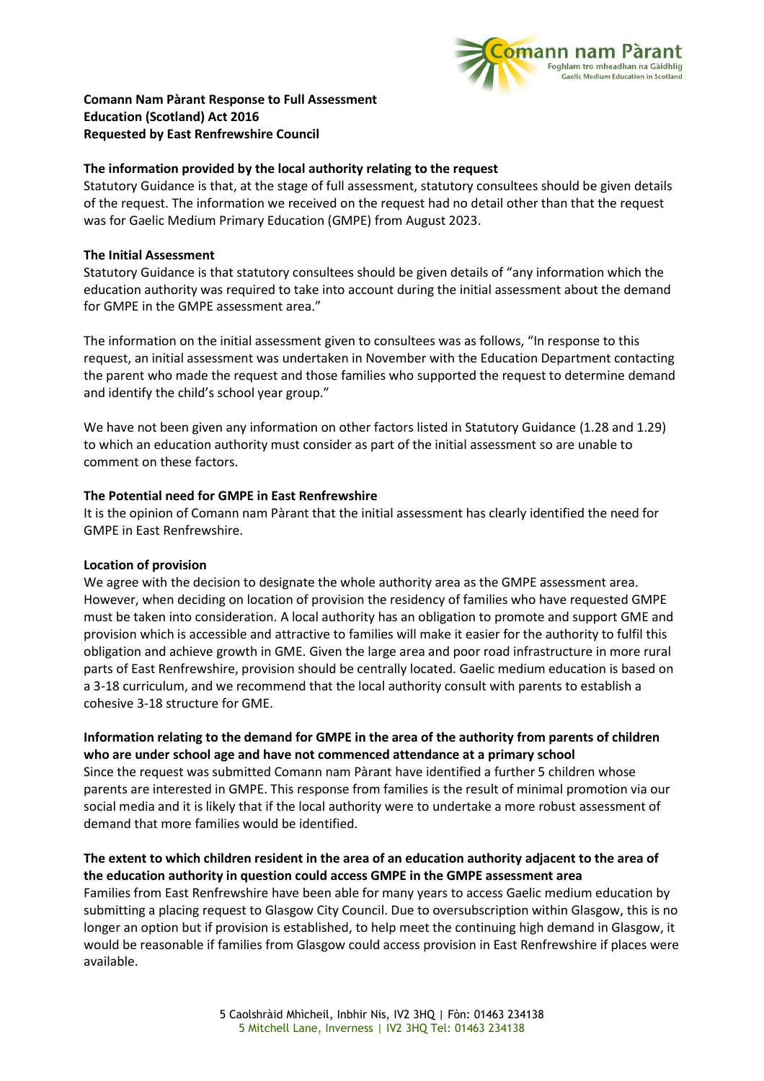

## **Comann Nam Pàrant Response to Full Assessment Education (Scotland) Act 2016 Requested by East Renfrewshire Council**

## **The information provided by the local authority relating to the request**

Statutory Guidance is that, at the stage of full assessment, statutory consultees should be given details of the request. The information we received on the request had no detail other than that the request was for Gaelic Medium Primary Education (GMPE) from August 2023.

## **The Initial Assessment**

Statutory Guidance is that statutory consultees should be given details of "any information which the education authority was required to take into account during the initial assessment about the demand for GMPE in the GMPE assessment area."

The information on the initial assessment given to consultees was as follows, "In response to this request, an initial assessment was undertaken in November with the Education Department contacting the parent who made the request and those families who supported the request to determine demand and identify the child's school year group."

We have not been given any information on other factors listed in Statutory Guidance (1.28 and 1.29) to which an education authority must consider as part of the initial assessment so are unable to comment on these factors.

## **The Potential need for GMPE in East Renfrewshire**

It is the opinion of Comann nam Pàrant that the initial assessment has clearly identified the need for GMPE in East Renfrewshire.

#### **Location of provision**

We agree with the decision to designate the whole authority area as the GMPE assessment area. However, when deciding on location of provision the residency of families who have requested GMPE must be taken into consideration. A local authority has an obligation to promote and support GME and provision which is accessible and attractive to families will make it easier for the authority to fulfil this obligation and achieve growth in GME. Given the large area and poor road infrastructure in more rural parts of East Renfrewshire, provision should be centrally located. Gaelic medium education is based on a 3-18 curriculum, and we recommend that the local authority consult with parents to establish a cohesive 3-18 structure for GME.

# **Information relating to the demand for GMPE in the area of the authority from parents of children who are under school age and have not commenced attendance at a primary school**

Since the request was submitted Comann nam Pàrant have identified a further 5 children whose parents are interested in GMPE. This response from families is the result of minimal promotion via our social media and it is likely that if the local authority were to undertake a more robust assessment of demand that more families would be identified.

## **The extent to which children resident in the area of an education authority adjacent to the area of the education authority in question could access GMPE in the GMPE assessment area**

Families from East Renfrewshire have been able for many years to access Gaelic medium education by submitting a placing request to Glasgow City Council. Due to oversubscription within Glasgow, this is no longer an option but if provision is established, to help meet the continuing high demand in Glasgow, it would be reasonable if families from Glasgow could access provision in East Renfrewshire if places were available.